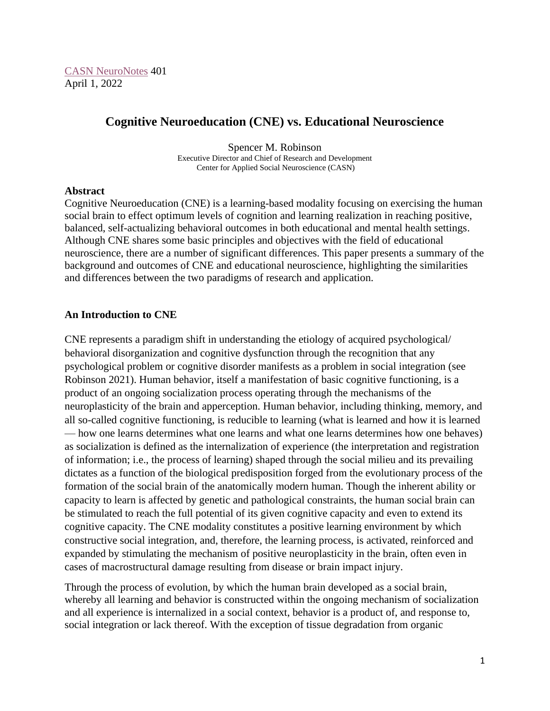[CASN NeuroNotes](https://www.brain-mind-behavior.org/casn-neuronotes) 401 April 1, 2022

# **Cognitive Neuroeducation (CNE) vs. Educational Neuroscience**

Spencer M. Robinson Executive Director and Chief of Research and Development Center for Applied Social Neuroscience (CASN)

#### **Abstract**

Cognitive Neuroeducation (CNE) is a learning-based modality focusing on exercising the human social brain to effect optimum levels of cognition and learning realization in reaching positive, balanced, self-actualizing behavioral outcomes in both educational and mental health settings. Although CNE shares some basic principles and objectives with the field of educational neuroscience, there are a number of significant differences. This paper presents a summary of the background and outcomes of CNE and educational neuroscience, highlighting the similarities and differences between the two paradigms of research and application.

## **An Introduction to CNE**

CNE represents a paradigm shift in understanding the etiology of acquired psychological/ behavioral disorganization and cognitive dysfunction through the recognition that any psychological problem or cognitive disorder manifests as a problem in social integration (see Robinson 2021). Human behavior, itself a manifestation of basic cognitive functioning, is a product of an ongoing socialization process operating through the mechanisms of the neuroplasticity of the brain and apperception. Human behavior, including thinking, memory, and all so-called cognitive functioning, is reducible to learning (what is learned and how it is learned — how one learns determines what one learns and what one learns determines how one behaves) as socialization is defined as the internalization of experience (the interpretation and registration of information; i.e., the process of learning) shaped through the social milieu and its prevailing dictates as a function of the biological predisposition forged from the evolutionary process of the formation of the social brain of the anatomically modern human. Though the inherent ability or capacity to learn is affected by genetic and pathological constraints, the human social brain can be stimulated to reach the full potential of its given cognitive capacity and even to extend its cognitive capacity. The CNE modality constitutes a positive learning environment by which constructive social integration, and, therefore, the learning process, is activated, reinforced and expanded by stimulating the mechanism of positive neuroplasticity in the brain, often even in cases of macrostructural damage resulting from disease or brain impact injury.

Through the process of evolution, by which the human brain developed as a social brain, whereby all learning and behavior is constructed within the ongoing mechanism of socialization and all experience is internalized in a social context, behavior is a product of, and response to, social integration or lack thereof. With the exception of tissue degradation from organic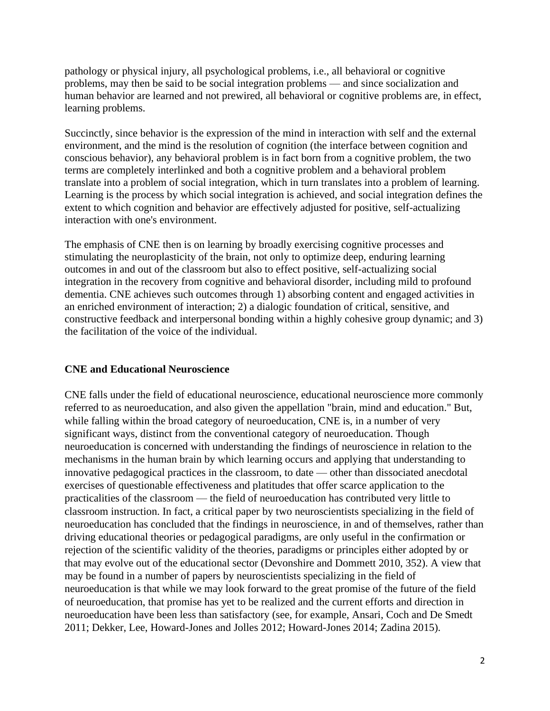pathology or physical injury, all psychological problems, i.e., all behavioral or cognitive problems, may then be said to be social integration problems — and since socialization and human behavior are learned and not prewired, all behavioral or cognitive problems are, in effect, learning problems.

Succinctly, since behavior is the expression of the mind in interaction with self and the external environment, and the mind is the resolution of cognition (the interface between cognition and conscious behavior), any behavioral problem is in fact born from a cognitive problem, the two terms are completely interlinked and both a cognitive problem and a behavioral problem translate into a problem of social integration, which in turn translates into a problem of learning. Learning is the process by which social integration is achieved, and social integration defines the extent to which cognition and behavior are effectively adjusted for positive, self-actualizing interaction with one's environment.

The emphasis of CNE then is on learning by broadly exercising cognitive processes and stimulating the neuroplasticity of the brain, not only to optimize deep, enduring learning outcomes in and out of the classroom but also to effect positive, self-actualizing social integration in the recovery from cognitive and behavioral disorder, including mild to profound dementia. CNE achieves such outcomes through 1) absorbing content and engaged activities in an enriched environment of interaction; 2) a dialogic foundation of critical, sensitive, and constructive feedback and interpersonal bonding within a highly cohesive group dynamic; and 3) the facilitation of the voice of the individual.

### **CNE and Educational Neuroscience**

CNE falls under the field of educational neuroscience, educational neuroscience more commonly referred to as neuroeducation, and also given the appellation "brain, mind and education." But, while falling within the broad category of neuroeducation, CNE is, in a number of very significant ways, distinct from the conventional category of neuroeducation. Though neuroeducation is concerned with understanding the findings of neuroscience in relation to the mechanisms in the human brain by which learning occurs and applying that understanding to innovative pedagogical practices in the classroom, to date — other than dissociated anecdotal exercises of questionable effectiveness and platitudes that offer scarce application to the practicalities of the classroom — the field of neuroeducation has contributed very little to classroom instruction. In fact, a critical paper by two neuroscientists specializing in the field of neuroeducation has concluded that the findings in neuroscience, in and of themselves, rather than driving educational theories or pedagogical paradigms, are only useful in the confirmation or rejection of the scientific validity of the theories, paradigms or principles either adopted by or that may evolve out of the educational sector (Devonshire and Dommett 2010, 352). A view that may be found in a number of papers by neuroscientists specializing in the field of neuroeducation is that while we may look forward to the great promise of the future of the field of neuroeducation, that promise has yet to be realized and the current efforts and direction in neuroeducation have been less than satisfactory (see, for example, Ansari, Coch and De Smedt 2011; Dekker, Lee, Howard-Jones and Jolles 2012; Howard-Jones 2014; Zadina 2015).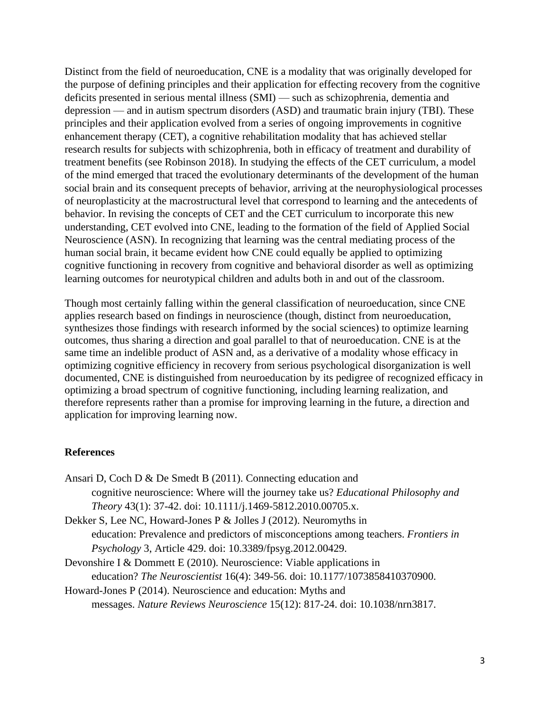Distinct from the field of neuroeducation, CNE is a modality that was originally developed for the purpose of defining principles and their application for effecting recovery from the cognitive deficits presented in serious mental illness (SMI) — such as schizophrenia, dementia and depression — and in autism spectrum disorders (ASD) and traumatic brain injury (TBI). These principles and their application evolved from a series of ongoing improvements in cognitive enhancement therapy (CET), a cognitive rehabilitation modality that has achieved stellar research results for subjects with schizophrenia, both in efficacy of treatment and durability of treatment benefits (see Robinson 2018). In studying the effects of the CET curriculum, a model of the mind emerged that traced the evolutionary determinants of the development of the human social brain and its consequent precepts of behavior, arriving at the neurophysiological processes of neuroplasticity at the macrostructural level that correspond to learning and the antecedents of behavior. In revising the concepts of CET and the CET curriculum to incorporate this new understanding, CET evolved into CNE, leading to the formation of the field of Applied Social Neuroscience (ASN). In recognizing that learning was the central mediating process of the human social brain, it became evident how CNE could equally be applied to optimizing cognitive functioning in recovery from cognitive and behavioral disorder as well as optimizing learning outcomes for neurotypical children and adults both in and out of the classroom.

Though most certainly falling within the general classification of neuroeducation, since CNE applies research based on findings in neuroscience (though, distinct from neuroeducation, synthesizes those findings with research informed by the social sciences) to optimize learning outcomes, thus sharing a direction and goal parallel to that of neuroeducation. CNE is at the same time an indelible product of ASN and, as a derivative of a modality whose efficacy in optimizing cognitive efficiency in recovery from serious psychological disorganization is well documented, CNE is distinguished from neuroeducation by its pedigree of recognized efficacy in optimizing a broad spectrum of cognitive functioning, including learning realization, and therefore represents rather than a promise for improving learning in the future, a direction and application for improving learning now.

## **References**

| Ansari D, Coch D & De Smedt B (2011). Connecting education and                             |
|--------------------------------------------------------------------------------------------|
| cognitive neuroscience: Where will the journey take us? <i>Educational Philosophy and</i>  |
| Theory 43(1): 37-42. doi: 10.1111/j.1469-5812.2010.00705.x.                                |
| Dekker S, Lee NC, Howard-Jones P & Jolles J (2012). Neuromyths in                          |
| education: Prevalence and predictors of misconceptions among teachers. <i>Frontiers in</i> |
| <i>Psychology</i> 3, Article 429. doi: 10.3389/fpsyg.2012.00429.                           |
| Devonshire I & Dommett E $(2010)$ . Neuroscience: Viable applications in                   |
| education? The Neuroscientist 16(4): 349-56. doi: 10.1177/1073858410370900.                |
| Howard-Jones P (2014). Neuroscience and education: Myths and                               |
|                                                                                            |

messages. *Nature Reviews Neuroscience* 15(12): 817-24. doi: 10.1038/nrn3817.